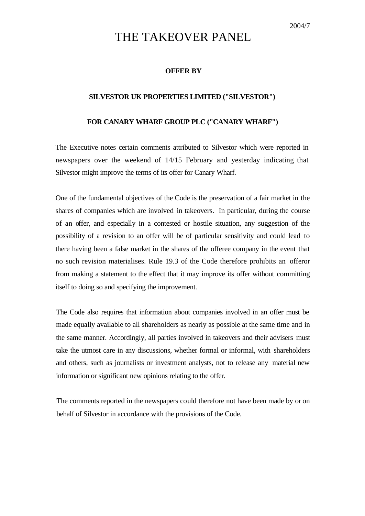## THE TAKEOVER PANEL

## **OFFER BY**

## **SILVESTOR UK PROPERTIES LIMITED ("SILVESTOR")**

## **FOR CANARY WHARF GROUP PLC ("CANARY WHARF")**

The Executive notes certain comments attributed to Silvestor which were reported in newspapers over the weekend of 14/15 February and yesterday indicating that Silvestor might improve the terms of its offer for Canary Wharf.

One of the fundamental objectives of the Code is the preservation of a fair market in the shares of companies which are involved in takeovers. In particular, during the course of an offer, and especially in a contested or hostile situation, any suggestion of the possibility of a revision to an offer will be of particular sensitivity and could lead to there having been a false market in the shares of the offeree company in the event that no such revision materialises. Rule 19.3 of the Code therefore prohibits an offeror from making a statement to the effect that it may improve its offer without committing itself to doing so and specifying the improvement.

The Code also requires that information about companies involved in an offer must be made equally available to all shareholders as nearly as possible at the same time and in the same manner. Accordingly, all parties involved in takeovers and their advisers must take the utmost care in any discussions, whether formal or informal, with shareholders and others, such as journalists or investment analysts, not to release any material new information or significant new opinions relating to the offer.

The comments reported in the newspapers could therefore not have been made by or on behalf of Silvestor in accordance with the provisions of the Code.